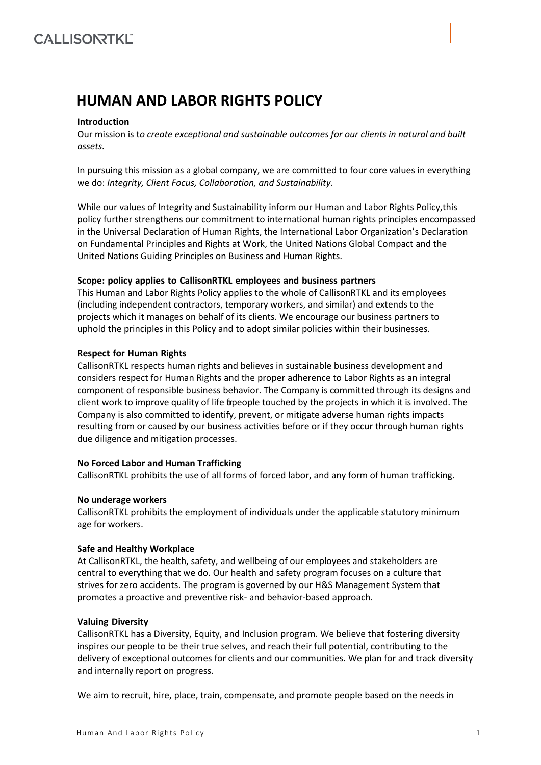# **HUMAN AND LABOR RIGHTS POLICY**

# **Introduction**

Our mission is t*o create exceptional and sustainable outcomes for our clients in natural and built assets.*

In pursuing this mission as a global company, we are committed to four core values in everything we do: *Integrity, Client Focus, Collaboration, and Sustainability*.

While our values of Integrity and Sustainability inform our Human and Labor Rights Policy,this policy further strengthens our commitment to international human rights principles encompassed in the Universal Declaration of Human Rights, the International Labor Organization's Declaration on Fundamental Principles and Rights at Work, the United Nations Global Compact and the United Nations Guiding Principles on Business and Human Rights.

## **Scope: policy applies to CallisonRTKL employees and business partners**

This Human and Labor Rights Policy applies to the whole of CallisonRTKL and its employees (including independent contractors, temporary workers, and similar) and extends to the projects which it manages on behalf of its clients. We encourage our business partners to uphold the principles in this Policy and to adopt similar policies within their businesses.

## **Respect for Human Rights**

CallisonRTKL respects human rights and believes in sustainable business development and considers respect for Human Rights and the proper adherence to Labor Rights as an integral component of responsible business behavior. The Company is committed through its designs and client work to improve quality of life for people touched by the projects in which it is involved. The Company is also committed to identify, prevent, or mitigate adverse human rights impacts resulting from or caused by our business activities before or if they occur through human rights due diligence and mitigation processes.

# **No Forced Labor and Human Trafficking**

CallisonRTKL prohibits the use of all forms of forced labor, and any form of human trafficking.

#### **No underage workers**

CallisonRTKL prohibits the employment of individuals under the applicable statutory minimum age for workers.

#### **Safe and Healthy Workplace**

At CallisonRTKL, the health, safety, and wellbeing of our employees and stakeholders are central to everything that we do. Our health and safety program focuses on a culture that strives for zero accidents. The program is governed by our H&S Management System that promotes a proactive and preventive risk- and behavior-based approach.

## **Valuing Diversity**

CallisonRTKL has a Diversity, Equity, and Inclusion program. We believe that fostering diversity inspires our people to be their true selves, and reach their full potential, contributing to the delivery of exceptional outcomes for clients and our communities. We plan for and track diversity and internally report on progress.

We aim to recruit, hire, place, train, compensate, and promote people based on the needs in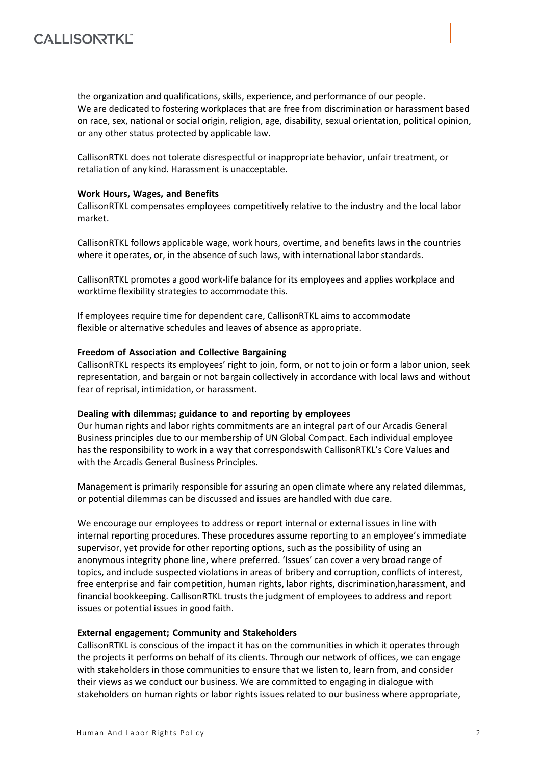# **CALLISONTKL**

the organization and qualifications, skills, experience, and performance of our people. We are dedicated to fostering workplaces that are free from discrimination or harassment based on race, sex, national or social origin, religion, age, disability, sexual orientation, political opinion, or any other status protected by applicable law.

CallisonRTKL does not tolerate disrespectful or inappropriate behavior, unfair treatment, or retaliation of any kind. Harassment is unacceptable.

## **Work Hours, Wages, and Benefits**

CallisonRTKL compensates employees competitively relative to the industry and the local labor market.

CallisonRTKL follows applicable wage, work hours, overtime, and benefits laws in the countries where it operates, or, in the absence of such laws, with international labor standards.

CallisonRTKL promotes a good work-life balance for its employees and applies workplace and worktime flexibility strategies to accommodate this.

If employees require time for dependent care, CallisonRTKL aims to accommodate flexible or alternative schedules and leaves of absence as appropriate.

## **Freedom of Association and Collective Bargaining**

CallisonRTKL respects its employees' right to join, form, or not to join or form a labor union, seek representation, and bargain or not bargain collectively in accordance with local laws and without fear of reprisal, intimidation, or harassment.

#### **Dealing with dilemmas; guidance to and reporting by employees**

Our human rights and labor rights commitments are an integral part of our Arcadis General Business principles due to our membership of UN Global Compact. Each individual employee has the responsibility to work in a way that correspondswith CallisonRTKL's Core Values and with the Arcadis General Business Principles.

Management is primarily responsible for assuring an open climate where any related dilemmas, or potential dilemmas can be discussed and issues are handled with due care.

We encourage our employees to address or report internal or external issues in line with internal reporting procedures. These procedures assume reporting to an employee's immediate supervisor, yet provide for other reporting options, such as the possibility of using an anonymous integrity phone line, where preferred. 'Issues' can cover a very broad range of topics, and include suspected violations in areas of bribery and corruption, conflicts of interest, free enterprise and fair competition, human rights, labor rights, discrimination,harassment, and financial bookkeeping. CallisonRTKL trusts the judgment of employees to address and report issues or potential issues in good faith.

#### **External engagement; Community and Stakeholders**

CallisonRTKL is conscious of the impact it has on the communities in which it operates through the projects it performs on behalf of its clients. Through our network of offices, we can engage with stakeholders in those communities to ensure that we listen to, learn from, and consider their views as we conduct our business. We are committed to engaging in dialogue with stakeholders on human rights or labor rights issues related to our business where appropriate,